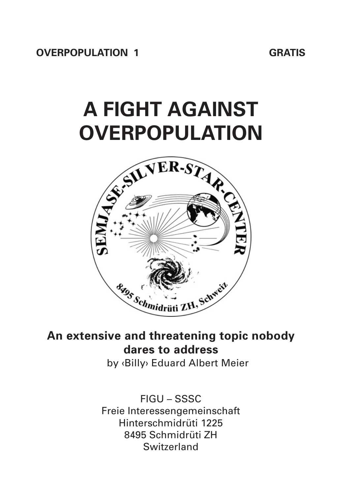# **A FIGHT AGAlNST OVERPOPULATlON**



# **An extensive and threatening topic nobody dares to address**

by ‹Billy› Eduard Albert Meier

FIGU – SSSC Freie Interessengemeinschaft Hinterschmidrüti 1225 8495 Schmidrüti ZH Switzerland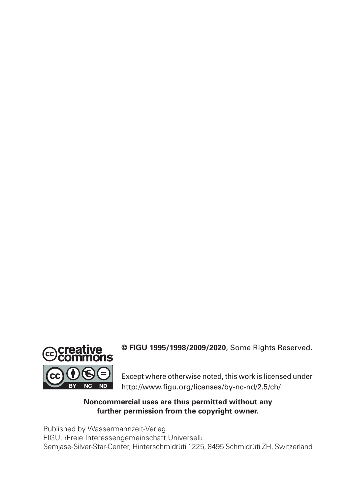

**© FIGU 1995/1998/2009/2020**, Some Rights Reserved.

Except where otherwise noted, this work is licensed under http://www.figu.org/licenses/by-nc-nd/2.5/ch/

#### **Noncommercial uses are thus permitted without any further permission from the copyright owner.**

Published by Wassermannzeit-Verlag FIGU, ‹Freie Interessengemeinschaft Universell› Semjase-Silver-Star-Center, Hinterschmidrüti 1225, 8495 Schmidrüti ZH, Switzerland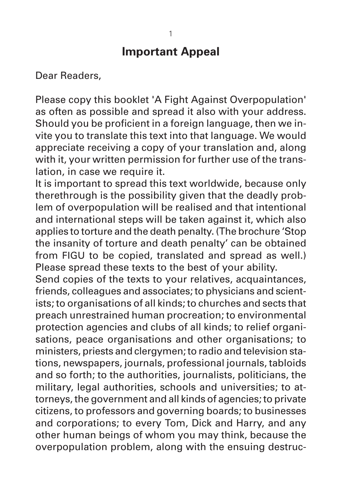# **Important Appeal**

Dear Readers,

Please copy this booklet 'A Fight Against Overpopulation' as often as possible and spread it also with your address. Should you be proficient in a foreign language, then we invite you to translate this text into that language. We would appreciate receiving a copy of your translation and, along with it, your written permission for further use of the translation, in case we require it.

It is important to spread this text worldwide, because only therethrough is the possibility given that the deadly problem of overpopulation will be realised and that intentional and international steps will be taken against it, which also applies to torture and the death penalty. (The brochure 'Stop the insanity of torture and death penalty' can be obtained from FIGU to be copied, translated and spread as well.) Please spread these texts to the best of your ability.

Send copies of the texts to your relatives, acquaintances, friends, colleagues and associates; to physicians and scient ists; to organisations of all kinds; to churches and sects that preach unrestrained human procreation; to environmental protection agencies and clubs of all kinds; to relief organisations, peace organisations and other organisations; to ministers, priests and clergymen; to radio and television stations, newspapers, journals, professional journals, tabloids and so forth; to the authorities, journalists, politicians, the military, legal authorities, schools and universities; to attorneys, the government and all kinds of agencies; to private citizens, to professors and governing boards; to businesses and corporations; to every Tom, Dick and Harry, and any other human beings of whom you may think, because the overpopulation problem, along with the ensuing destruc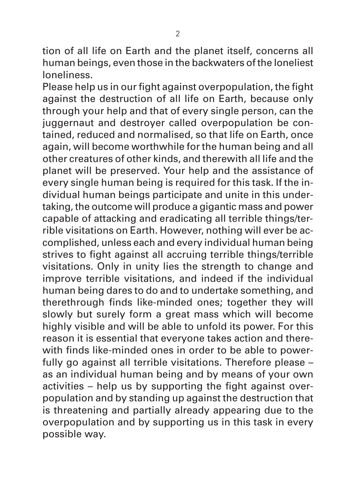tion of all life on Earth and the planet itself, concerns all human beings, even those in the backwaters of the loneliest loneliness.

Please help us in our fight against overpopulation, the fight against the destruction of all life on Earth, because only through your help and that of every single person, can the juggernaut and destroyer called overpopulation be contained, reduced and normalised, so that life on Earth, once again, will become worthwhile for the human being and all other creatures of other kinds, and therewith all life and the planet will be preserved. Your help and the assistance of every single human being is required for this task. If the individual human beings participate and unite in this undertaking, the outcome will produce a gigantic mass and power capable of attacking and eradicating all terrible things/terrible visitations on Earth. However, nothing will ever be accomplished, unless each and every individual human being strives to fight against all accruing terrible things/terrible visitations. Only in unity lies the strength to change and improve terrible visitations, and indeed if the individual human being dares to do and to undertake something, and therethrough finds like-minded ones; together they will slowly but surely form a great mass which will become highly visible and will be able to unfold its power. For this reason it is essential that everyone takes action and therewith finds like-minded ones in order to be able to powerfully go against all terrible visitations. Therefore please – as an individual human being and by means of your own activities – help us by supporting the fight against over population and by standing up against the destruction that is threatening and partially already appearing due to the overpopulation and by supporting us in this task in every possible way.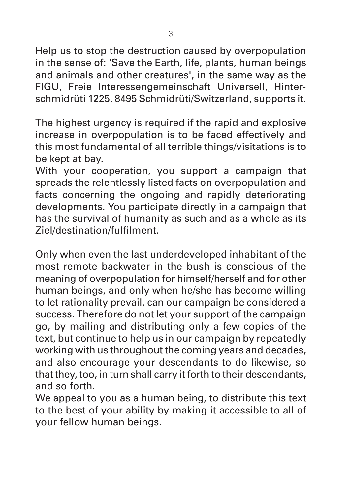Help us to stop the destruction caused by overpopulation in the sense of: 'Save the Earth, life, plants, human beings and animals and other creatures', in the same way as the FIGU, Freie Interessengemeinschaft Universell, Hinterschmidrüti 1225, 8495 Schmidrüti/Switzerland, supports it.

The highest urgency is required if the rapid and explosive increase in overpopulation is to be faced effectively and this most fundamental of all terrible things/visitations is to be kept at bay.

With your cooperation, you support a campaign that spreads the relentlessly listed facts on overpopulation and facts concerning the ongoing and rapidly deteriorating developments. You participate directly in a campaign that has the survival of humanity as such and as a whole as its Ziel/destination/fulfilment.

Only when even the last underdeveloped inhabitant of the most remote backwater in the bush is conscious of the meaning of overpopulation for himself/herself and for other human beings, and only when he/she has become willing to let rationality prevail, can our campaign be considered a success. Therefore do not let your support of the campaign go, by mailing and distributing only a few copies of the text, but continue to help us in our campaign by repeatedly working with us throughout the coming years and decades, and also encourage your descendants to do likewise, so that they, too, in turn shall carry it forth to their descendants, and so forth.

We appeal to you as a human being, to distribute this text to the best of your ability by making it accessible to all of your fellow human beings.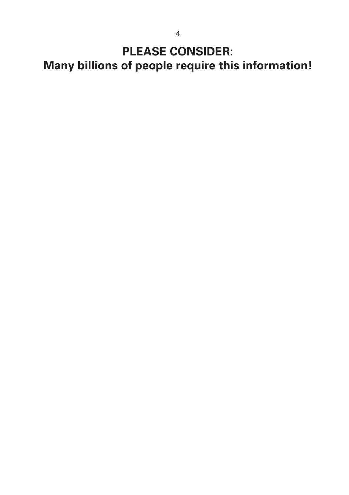**PLEASE CONSIDER:**

**Many billions of people require this information!**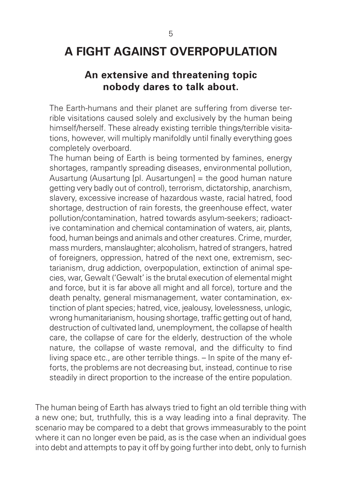# **A FIGHT AGAlNST OVERPOPULATlON**

## **An extensive and threatening topic nobody dares to talk about.**

The Earth-humans and their planet are suffering from diverse terrible visitations caused solely and exclusively by the human being himself/herself. These already existing terrible things/terrible visitations, however, will multiply manifoldly until finally everything goes completely overboard.

The human being of Earth is being tormented by famines, energy shortages, rampantly spreading diseases, environmental pollution, Ausartung (Ausartung [pl. Ausartungen] = the good human nature getting very badly out of control), terrorism, dictatorship, anarchism, slavery, excessive increase of hazardous waste, racial hatred, food shortage, destruction of rain forests, the greenhouse effect, water pollution/contamination, hatred towards asylum-seekers; radioactive contamination and chemical contamination of waters, air, plants, food, human beings and animals and other creatures. Crime, murder, mass murders, manslaughter; alcoholism, hatred of strangers, hatred of foreigners, oppression, hatred of the next one, extremism, sectarianism, drug addiction, overpopulation, extinction of animal species, war, Gewalt ('Gewalt' is the brutal execution of elemental might and force, but it is far above all might and all force), torture and the death penalty, general mismanagement, water contamination, extinction of plant species; hatred, vice, jealousy, lovelessness, unlogic, wrong humanitarianism, housing shortage, traffic getting out of hand, destruction of cultivated land, unemployment, the collapse of health care, the collapse of care for the elderly, destruction of the whole nature, the collapse of waste removal, and the difficulty to find living space etc., are other terrible things. – In spite of the many efforts, the problems are not decreasing but, instead, continue to rise steadily in direct proportion to the increase of the entire population.

The human being of Earth has always tried to fight an old terrible thing with a new one; but, truthfully, this is a way leading into a final depravity. The scenario may be compared to a debt that grows immeasurably to the point where it can no longer even be paid, as is the case when an individual goes into debt and attempts to pay it off by going further into debt, only to furnish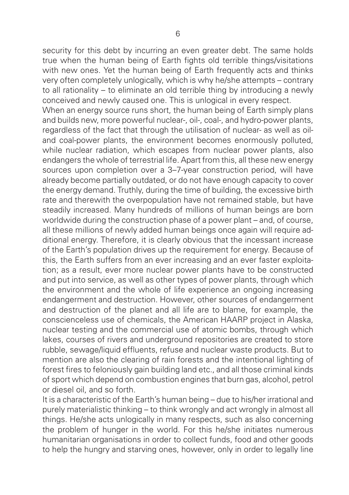security for this debt by incurring an even greater debt. The same holds true when the human being of Earth fights old terrible things/visitations with new ones. Yet the human being of Earth frequently acts and thinks very often completely unlogically, which is why he/she attempts – contrary to all rationality – to eliminate an old terrible thing by introducing a newly conceived and newly caused one. This is unlogical in every respect.

When an energy source runs short, the human being of Earth simply plans and builds new, more powerful nuclear-, oil-, coal-, and hydro-power plants, regardless of the fact that through the utilisation of nuclear- as well as oiland coal-power plants, the environment becomes enormously polluted, while nuclear radiation, which escapes from nuclear power plants, also endangers the whole of terrestrial life. Apart from this, all these new energy sources upon completion over a 3-7-year construction period, will have already become partially outdated, or do not have enough capacity to cover the energy demand. Truthly, during the time of building, the excessive birth rate and therewith the overpopulation have not remained stable, but have steadily increased. Many hundreds of millions of human beings are born worldwide during the construction phase of a power plant – and, of course, all these millions of newly added human beings once again will require additional energy. Therefore, it is clearly obvious that the incessant increase of the Earth's population drives up the requirement for energy. Because of this, the Earth suffers from an ever increasing and an ever faster exploitation; as a result, ever more nuclear power plants have to be constructed and put into service, as well as other types of power plants, through which the environment and the whole of life experience an ongoing increasing endangerment and destruction. However, other sources of endangerment and destruction of the planet and all life are to blame, for example, the conscienceless use of chemicals, the American HAARP project in Alaska, nuclear testing and the commercial use of atomic bombs, through which lakes, courses of rivers and underground repositories are created to store rubble, sewage/liquid effluents, refuse and nuclear waste products. But to mention are also the clearing of rain forests and the intentional lighting of forest fires to feloniously gain building land etc., and all those criminal kinds of sport which depend on combustion engines that burn gas, alcohol, petrol or diesel oil, and so forth.

It is a characteristic of the Earth's human being – due to his/her irrational and purely materialistic thinking – to think wrongly and act wrongly in almost all things. He/she acts unlogically in many respects, such as also concerning the problem of hunger in the world. For this he/she initiates numerous humanitarian organisations in order to collect funds, food and other goods to help the hungry and starving ones, however, only in order to legally line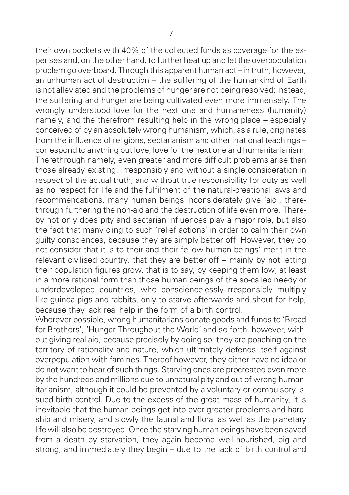their own pockets with 40% of the collected funds as coverage for the expenses and, on the other hand, to further heat up and let the overpopulation problem go overboard. Through this apparent human act – in truth, however, an unhuman act of destruction – the suffering of the humankind of Earth is not alleviated and the problems of hunger are not being resolved; instead, the suffering and hunger are being cultivated even more immensely. The wrongly understood love for the next one and humaneness (humanity) namely, and the therefrom resulting help in the wrong place – especially conceived of by an absolutely wrong humanism, which, as a rule, originates from the influence of religions, sectarianism and other irrational teachings – correspond to anything but love, love for the next one and humanitarianism. Therethrough namely, even greater and more difficult problems arise than those already existing. Irresponsibly and without a single consideration in respect of the actual truth, and without true responsibility for duty as well as no respect for life and the fulfilment of the natural-creational laws and recommendations, many human beings inconsiderately give 'aid', therethrough furthering the non-aid and the destruction of life even more. Thereby not only does pity and sectarian influences play a major role, but also the fact that many cling to such 'relief actions' in order to calm their own guilty consciences, because they are simply better off. However, they do not consider that it is to their and their fellow human beings' merit in the relevant civilised country, that they are better off – mainly by not letting their population figures grow, that is to say, by keeping them low; at least in a more rational form than those human beings of the so-called needy or underdeveloped countries, who consciencelessly-irresponsibly multiply like guinea pigs and rabbits, only to starve afterwards and shout for help. because they lack real help in the form of a birth control.

Wherever possible, wrong humanitarians donate goods and funds to 'Bread for Brothers', 'Hunger Throughout the World' and so forth, however, without giving real aid, because precisely by doing so, they are poaching on the territory of rationality and nature, which ultimately defends itself against overpopulation with famines. Thereof however, they either have no idea or do not want to hear of such things. Starving ones are procreated even more by the hundreds and millions due to unnatural pity and out of wrong humanitarianism, although it could be prevented by a voluntary or compulsory issued birth control. Due to the excess of the great mass of humanity, it is inevitable that the human beings get into ever greater problems and hardship and misery, and slowly the faunal and floral as well as the planetary life will also be destroyed. Once the starving human beings have been saved from a death by starvation, they again become well-nourished, big and strong, and immediately they begin – due to the lack of birth control and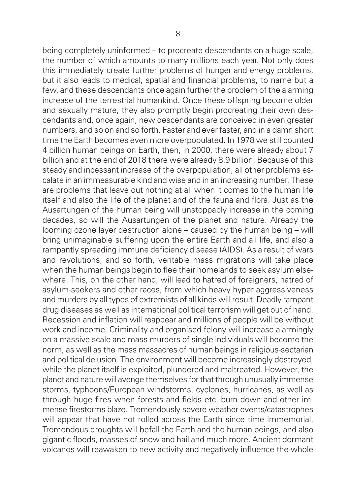being completely uninformed – to procreate descendants on a huge scale. the number of which amounts to many millions each year. Not only does this immediately create further problems of hunger and energy problems, but it also leads to medical, spatial and financial problems, to name but a few, and these descendants once again further the problem of the alarming increase of the terrestrial humankind. Once these offspring become older and sexually mature, they also promptly begin procreating their own descendants and, once again, new descendants are conceived in even greater numbers, and so on and so forth. Faster and ever faster, and in a damn short time the Earth becomes even more overpopulated. In 1978 we still counted 4 billion human beings on Earth, then, in 2000, there were already about 7 billion and at the end of 2018 there were already 8.9 billion. Because of this steady and incessant increase of the overpopulation, all other problems escalate in an immeasurable kind and wise and in an increasing number. These are problems that leave out nothing at all when it comes to the human life itself and also the life of the planet and of the fauna and flora. Just as the Ausartungen of the human being will unstoppably increase in the coming decades, so will the Ausartungen of the planet and nature. Already the looming ozone layer destruction alone – caused by the human being – will bring unimaginable suffering upon the entire Earth and all life, and also a rampantly spreading immune deficiency disease (AIDS). As a result of wars and revolutions, and so forth, veritable mass migrations will take place when the human beings begin to flee their homelands to seek asylum elsewhere. This, on the other hand, will lead to hatred of foreigners, hatred of asylum-seekers and other races, from which heavy hyper aggressiveness and murders by all types of extremists of all kinds will result. Deadly rampant drug diseases as well as international political terrorism will get out of hand. Recession and inflation will reappear and millions of people will be without work and income. Criminality and organised felony will increase alarmingly on a massive scale and mass murders of single individuals will become the norm, as well as the mass massacres of human beings in religious-sectarian and political delusion. The environment will become increasingly destroyed, while the planet itself is exploited, plundered and maltreated. However, the planet and nature will avenge themselves for that through unusually immense storms, typhoons/European windstorms, cyclones, hurricanes, as well as through huge fires when forests and fields etc. burn down and other immense firestorms blaze. Tremendously severe weather events/catastrophes will appear that have not rolled across the Earth since time immemorial. Tremendous droughts will befall the Earth and the human beings, and also gigantic floods, masses of snow and hail and much more. Ancient dormant volcanos will reawaken to new activity and negatively influence the whole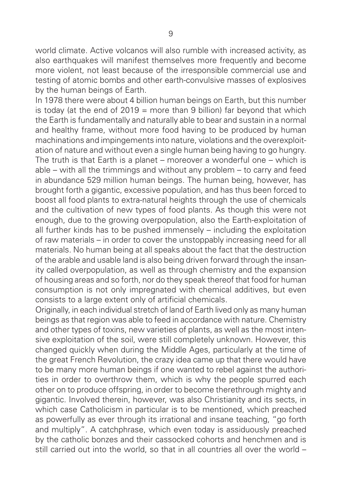world climate. Active volcanos will also rumble with increased activity, as also earthquakes will manifest themselves more frequently and become more violent, not least because of the irresponsible commercial use and testing of atomic bombs and other earth-convulsive masses of explosives by the human beings of Earth.

In 1978 there were about 4 billion human beings on Earth, but this number is today (at the end of  $2019$  = more than 9 billion) far beyond that which the Earth is fundamentally and naturally able to bear and sustain in a normal and healthy frame, without more food having to be produced by human machinations and impingements into nature, violations and the overexploit ation of nature and without even a single human being having to go hungry. The truth is that Earth is a planet – moreover a wonderful one – which is able – with all the trimmings and without any problem – to carry and feed in abundance 529 million human beings. The human being, however, has brought forth a gigantic, excessive population, and has thus been forced to boost all food plants to extra-natural heights through the use of chemicals and the cultivation of new types of food plants. As though this were not enough, due to the growing overpopulation, also the Earth-exploitation of all further kinds has to be pushed immensely – including the exploitation of raw materials – in order to cover the unstoppably increasing need for all materials. No human being at all speaks about the fact that the destruction of the arable and usable land is also being driven forward through the insan ity called overpopulation, as well as through chemistry and the expansion of housing areas and so forth, nor do they speak thereof that food for human consumption is not only impregnated with chemical additives, but even consists to a large extent only of artificial chemicals.

Originally, in each individual stretch of land of Earth lived only as many human beings as that region was able to feed in accordance with nature. Chemistry and other types of toxins, new varieties of plants, as well as the most intensive exploitation of the soil, were still completely unknown. However, this changed quickly when during the Middle Ages, particularly at the time of the great French Revolution, the crazy idea came up that there would have to be many more human beings if one wanted to rebel against the authorities in order to overthrow them, which is why the people spurred each other on to produce offspring, in order to become therethrough mighty and gigantic. Involved therein, however, was also Christianity and its sects, in which case Catholicism in particular is to be mentioned, which preached as powerfully as ever through its irrational and insane teaching, "go forth and multiply". A catchphrase, which even today is assiduously preached by the catholic bonzes and their cassocked cohorts and henchmen and is still carried out into the world, so that in all countries all over the world –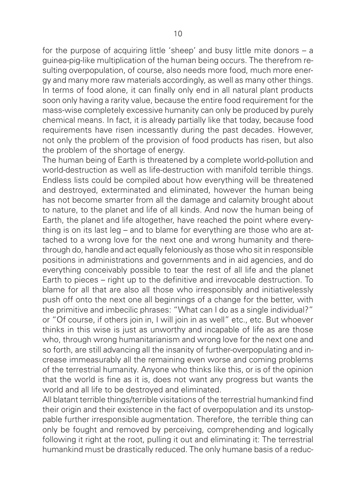for the purpose of acquiring little 'sheep' and busy little mite donors – a guinea-pig-like multiplication of the human being occurs. The therefrom resulting overpopulation, of course, also needs more food, much more energy and many more raw materials accordingly, as well as many other things. In terms of food alone, it can finally only end in all natural plant products soon only having a rarity value, because the entire food requirement for the mass-wise completely excessive humanity can only be produced by purely chemical means. In fact, it is already partially like that today, because food requirements have risen incessantly during the past decades. However, not only the problem of the provision of food products has risen, but also the problem of the shortage of energy.

The human being of Earth is threatened by a complete world-pollution and world-destruction as well as life-destruction with manifold terrible things. Endless lists could be compiled about how everything will be threatened and destroyed, exterminated and eliminated, however the human being has not become smarter from all the damage and calamity brought about to nature, to the planet and life of all kinds. And now the human being of Earth, the planet and life altogether, have reached the point where everything is on its last leg – and to blame for everything are those who are attached to a wrong love for the next one and wrong humanity and therethrough do, handle and act equally feloniously as those who sit in responsible positions in administrations and governments and in aid agencies, and do everything conceivably possible to tear the rest of all life and the planet Earth to pieces – right up to the definitive and irrevocable destruction. To blame for all that are also all those who irresponsibly and initiativelessly push off onto the next one all beginnings of a change for the better, with the primitive and imbecilic phrases: "What can I do as a single individual?" or "Of course, if others join in, I will join in as well" etc., etc. But whoever thinks in this wise is just as unworthy and incapable of life as are those who, through wrong humanitarianism and wrong love for the next one and so forth, are still advancing all the insanity of further-overpopulating and increase immeasurably all the remaining even worse and coming problems of the terrestrial humanity. Anyone who thinks like this, or is of the opinion that the world is fine as it is, does not want any progress but wants the world and all life to be destroyed and eliminated.

All blatant terrible things/terrible visitations of the terrestrial humankind find their origin and their existence in the fact of overpopulation and its unstoppable further irresponsible augmentation. Therefore, the terrible thing can only be fought and removed by perceiving, comprehending and logically following it right at the root, pulling it out and eliminating it: The terrestrial humankind must be drastically reduced. The only humane basis of a reduc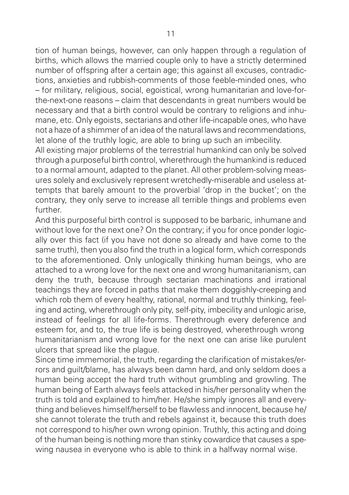tion of human beings, however, can only happen through a regulation of births, which allows the married couple only to have a strictly determined number of offspring after a certain age; this against all excuses, contradictions, anxieties and rubbish-comments of those feeble-minded ones, who – for military, religious, social, egoistical, wrong humanitarian and love-forthe-next-one reasons – claim that descendants in great numbers would be necessary and that a birth control would be contrary to religions and inhumane, etc. Only egoists, sectarians and other life-incapable ones, who have not a haze of a shimmer of an idea of the natural laws and recommendations, let alone of the truthly logic, are able to bring up such an imbecility.

All existing major problems of the terrestrial humankind can only be solved through a purposeful birth control, wherethrough the humankind is reduced to a normal amount, adapted to the planet. All other problem-solving meas ures solely and exclusively represent wretchedly-miserable and useless attempts that barely amount to the proverbial 'drop in the bucket'; on the contrary, they only serve to increase all terrible things and problems even further.

And this purposeful birth control is supposed to be barbaric, inhumane and without love for the next one? On the contrary; if you for once ponder logically over this fact (if you have not done so already and have come to the same truth), then you also find the truth in a logical form, which corresponds to the aforementioned. Only unlogically thinking human beings, who are attached to a wrong love for the next one and wrong humanitarianism, can deny the truth, because through sectarian machinations and irrational teachings they are forced in paths that make them doggishly-creeping and which rob them of every healthy, rational, normal and truthly thinking, feeling and acting, wherethrough only pity, self-pity, imbecility and unlogic arise, instead of feelings for all life-forms. Therethrough every deference and esteem for, and to, the true life is being destroyed, wherethrough wrong humanitarianism and wrong love for the next one can arise like purulent ulcers that spread like the plague.

Since time immemorial, the truth, regarding the clarification of mistakes/errors and guilt/blame, has always been damn hard, and only seldom does a human being accept the hard truth without grumbling and growling. The human being of Earth always feels attacked in his/her personality when the truth is told and explained to him/her. He/she simply ignores all and every thing and believes himself/herself to be flawless and innocent, because he/ she cannot tolerate the truth and rebels against it, because this truth does not correspond to his/her own wrong opinion. Truthly, this acting and doing of the human being is nothing more than stinky cowardice that causes a spe wing nausea in everyone who is able to think in a halfway normal wise.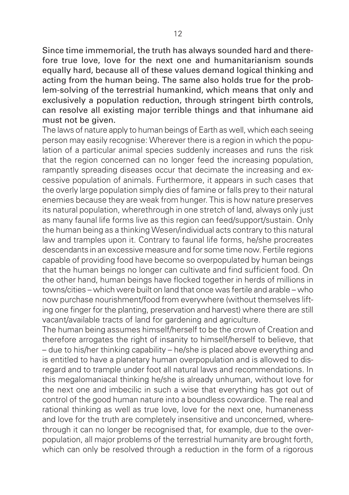Since time immemorial, the truth has always sounded hard and therefore true love, love for the next one and humanitarianism sounds equally hard, because all of these values demand logical thinking and acting from the human being. The same also holds true for the problem-solving of the terrestrial humankind, which means that only and exclusively a population reduction, through stringent birth controls, can resolve all existing major terrible things and that inhumane aid must not be given.

The laws of nature apply to human beings of Earth as well, which each seeing person may easily recognise: Wherever there is a region in which the population of a particular animal species suddenly increases and runs the risk that the region concerned can no longer feed the increasing population, rampantly spreading diseases occur that decimate the increasing and excessive population of animals. Furthermore, it appears in such cases that the overly large population simply dies of famine or falls prey to their natural enemies because they are weak from hunger. This is how nature preserves its natural population, wherethrough in one stretch of land, always only just as many faunal life forms live as this region can feed/support/sustain. Only the human being as a thinking Wesen/individual acts contrary to this natural law and tramples upon it. Contrary to faunal life forms, he/she procreates descendants in an excessive measure and for some time now. Fertile regions capable of providing food have become so overpopulated by human beings that the human beings no longer can cultivate and find sufficient food. On the other hand, human beings have flocked together in herds of millions in towns/cities – which were built on land that once was fertile and arable – who now purchase nourishment/food from everywhere (without themselves lifting one finger for the planting, preservation and harvest) where there are still vacant/available tracts of land for gardening and agriculture.

The human being assumes himself/herself to be the crown of Creation and therefore arrogates the right of insanity to himself/herself to believe, that – due to his/her thinking capability – he/she is placed above everything and is entitled to have a planetary human overpopulation and is allowed to disregard and to trample under foot all natural laws and recommendations. In this megalomaniacal thinking he/she is already unhuman, without love for the next one and imbecilic in such a wise that everything has got out of control of the good human nature into a boundless cowardice. The real and rational thinking as well as true love, love for the next one, humaneness and love for the truth are completely insensitive and unconcerned, wherethrough it can no longer be recognised that, for example, due to the overpopulation, all major problems of the terrestrial humanity are brought forth, which can only be resolved through a reduction in the form of a rigorous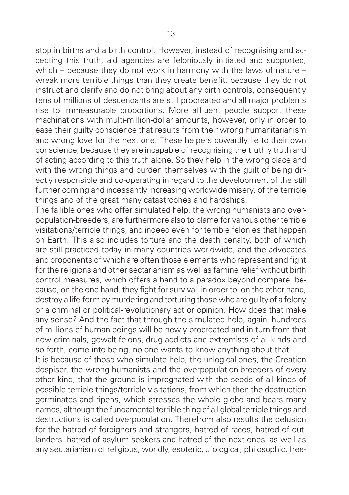stop in births and a birth control. However, instead of recognising and accepting this truth, aid agencies are feloniously initiated and supported, which – because they do not work in harmony with the laws of nature – wreak more terrible things than they create benefit, because they do not instruct and clarify and do not bring about any birth controls, consequently tens of millions of descendants are still procreated and all major problems rise to immeasurable proportions. More affluent people support these machinations with multi-million-dollar amounts, however, only in order to ease their guilty conscience that results from their wrong humanitarianism and wrong love for the next one. These helpers cowardly lie to their own conscience, because they are incapable of recognising the truthly truth and of acting according to this truth alone. So they help in the wrong place and with the wrong things and burden themselves with the quilt of being directly responsible and co-operating in regard to the development of the still further coming and incessantly increasing worldwide misery, of the terrible things and of the great many catastrophes and hardships.

The fallible ones who offer simulated help, the wrong humanists and overpopulation-breeders, are furthermore also to blame for various other terrible visitations/terrible things, and indeed even for terrible felonies that happen on Earth. This also includes torture and the death penalty, both of which are still practiced today in many countries worldwide, and the advocates and proponents of which are often those elements who represent and fight for the religions and other sectarianism as well as famine relief without birth control measures, which offers a hand to a paradox beyond compare, because, on the one hand, they fight for survival, in order to, on the other hand, destroy a life-form by murdering and torturing those who are guilty of a felony or a criminal or political-revolutionary act or opinion. How does that make any sense? And the fact that through the simulated help, again, hundreds of millions of human beings will be newly procreated and in turn from that new criminals, gewalt-felons, drug addicts and extremists of all kinds and so forth, come into being, no one wants to know anything about that.

It is because of those who simulate help, the unlogical ones, the Creation despiser, the wrong humanists and the overpopulation-breeders of every other kind, that the ground is impregnated with the seeds of all kinds of possible terrible things/terrible visitations, from which then the destruction germinates and ripens, which stresses the whole globe and bears many names, although the fundamental terrible thing of all global terrible things and destructions is called overpopulation. Therefrom also results the delusion for the hatred of foreigners and strangers, hatred of races, hatred of outlanders, hatred of asylum seekers and hatred of the next ones, as well as any sectarianism of religious, worldly, esoteric, ufological, philosophic, free-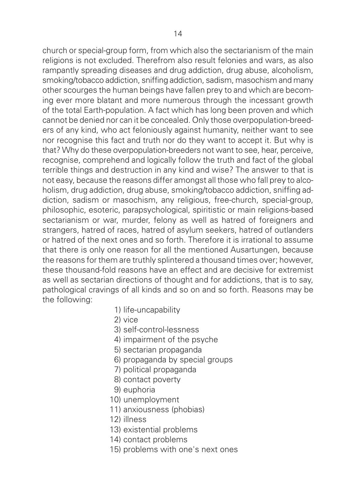church or special-group form, from which also the sectarianism of the main religions is not excluded. Therefrom also result felonies and wars, as also rampantly spreading diseases and drug addiction, drug abuse, alcoholism, smoking/tobacco addiction, sniffing addiction, sadism, masochism and many other scourges the human beings have fallen prey to and which are becoming ever more blatant and more numerous through the incessant growth of the total Earth-population. A fact which has long been proven and which cannot be denied nor can it be concealed. Only those overpopulation-breed ers of any kind, who act feloniously against humanity, neither want to see nor recognise this fact and truth nor do they want to accept it. But why is that? Why do these overpopulation-breeders not want to see, hear, perceive, recognise, comprehend and logically follow the truth and fact of the global terrible things and destruction in any kind and wise? The answer to that is not easy, because the reasons differ amongst all those who fall prey to alcoholism, drug addiction, drug abuse, smoking/tobacco addiction, sniffing addiction, sadism or masochism, any religious, free-church, special-group, philosophic, esoteric, parapsychological, spiritistic or main religions-based sectarianism or war, murder, felony as well as hatred of foreigners and strangers, hatred of races, hatred of asylum seekers, hatred of outlanders or hatred of the next ones and so forth. Therefore it is irrational to assume that there is only one reason for all the mentioned Ausartungen, because the reasons for them are truthly splintered a thousand times over; however, these thousand-fold reasons have an effect and are decisive for extremist as well as sectarian directions of thought and for addictions, that is to say, pathological cravings of all kinds and so on and so forth. Reasons may be the following:

- 1) life-uncapability
- 2) vice
- 3) self-control-lessness
- 4) impairment of the psyche
- 5) sectarian propaganda
- 6) propaganda by special groups
- 7) political propaganda
- 8) contact poverty
- 9) euphoria
- 10) unemployment
- 11) anxiousness (phobias)
- 12) illness
- 13) existential problems
- 14) contact problems
- 15) problems with one's next ones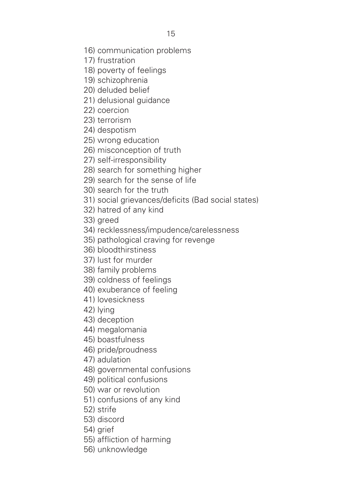- 16) communication problems
- 17) frustration
- 18) poverty of feelings
- 19) schizophrenia
- 20) deluded belief
- 21) delusional quidance
- 22) coercion
- 23) terrorism
- 24) despotism
- 25) wrong education
- 26) misconception of truth
- 27) self-irresponsibility
- 28) search for something higher
- 29) search for the sense of life
- 30) search for the truth
- 31) social grievances/deficits (Bad social states)
- 32) hatred of any kind
- 33) areed
- 34) recklessness/impudence/carelessness
- 35) pathological craving for revenge
- 36) bloodthirstiness
- 37) lust for murder
- 38) family problems
- 39) coldness of feelings
- 40) exuberance of feeling
- 41) lovesickness
- 42) lying
- 43) deception
- 44) megalomania
- 45) boastfulness
- 46) pride/proudness
- 47) adulation
- 48) governmental confusions
- 49) political confusions
- 50) war or revolution
- 51) confusions of any kind
- 52) strife
- 53) discord
- 54) arief
- 55) affliction of harming
- 56) unknowledge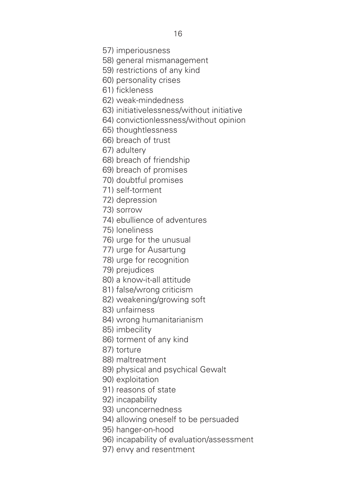57) imperiousness

58) general mismanagement

59) restrictions of any kind

60) personality crises

61) fickleness

62) weak-mindedness

63) initiativelessness/without initiative

64) convictionlessness/without opinion

65) thoughtlessness

66) breach of trust

67) adultery

68) breach of friendship

69) breach of promises

70) doubtful promises

71) self-torment

72) depression

73) sorrow

74) ebullience of adventures

75) loneliness

76) urge for the unusual

77) urge for Ausartung

78) urge for recognition

79) prejudices

80) a know-it-all attitude

81) false/wrong criticism

82) weakening/growing soft

83) unfairness

84) wrong humanitarianism

85) imbecility

86) torment of any kind

87) torture

88) maltreatment

89) physical and psychical Gewalt

90) exploitation

91) reasons of state

92) incapability

93) unconcernedness

94) allowing oneself to be persuaded

95) hanger-on-hood

96) incapability of evaluation/assessment

97) envy and resentment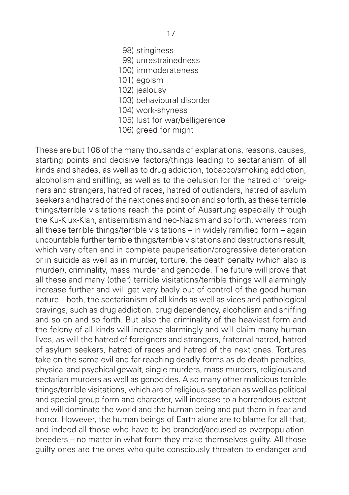- 98) stinginess
- 99) unrestrainedness
- 100) immoderateness
- 101) egoism
- 102) jealousy
- 103) behavioural disorder
- 104) work-shyness
- 105) lust for war/belligerence
- 106) greed for might

These are but 106 of the many thousands of explanations, reasons, causes, starting points and decisive factors/things leading to sectarianism of all kinds and shades, as well as to drug addiction, tobacco/smoking addiction, alcoholism and sniffing, as well as to the delusion for the hatred of foreigners and strangers, hatred of races, hatred of outlanders, hatred of asylum seekers and hatred of the next ones and so on and so forth, as these terrible things/terrible visitations reach the point of Ausartung especially through the Ku-Klux-Klan, antisemitism and neo-Nazism and so forth, whereas from all these terrible things/terrible visitations – in widely ramified form – again uncountable further terrible things/terrible visitations and destructions result, which very often end in complete pauperisation/progressive deterioration or in suicide as well as in murder, torture, the death penalty (which also is murder), criminality, mass murder and genocide. The future will prove that all these and many (other) terrible visitations/terrible things will alarmingly increase further and will get very badly out of control of the good human nature – both, the sectarianism of all kinds as well as vices and pathological cravings, such as drug addiction, drug dependency, alcoholism and sniffing and so on and so forth. But also the criminality of the heaviest form and the felony of all kinds will increase alarmingly and will claim many human lives, as will the hatred of foreigners and strangers, fraternal hatred, hatred of asylum seekers, hatred of races and hatred of the next ones. Tortures take on the same evil and far-reaching deadly forms as do death penalties, physical and psychical gewalt, single murders, mass murders, religious and sectarian murders as well as genocides. Also many other malicious terrible things/terrible visitations, which are of religious-sectarian as well as political and special group form and character, will increase to a horrendous extent and will dominate the world and the human being and put them in fear and horror. However, the human beings of Earth alone are to blame for all that, and indeed all those who have to be branded/accused as overpopulationbreeders – no matter in what form they make themselves guilty. All those guilty ones are the ones who quite consciously threaten to endanger and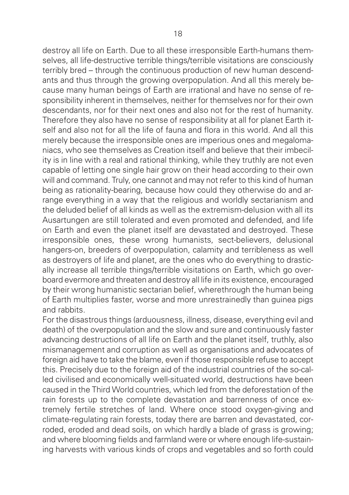destroy all life on Earth. Due to all these irresponsible Earth-humans themselves, all life-destructive terrible things/terrible visitations are consciously terribly bred – through the continuous production of new human descendants and thus through the growing overpopulation. And all this merely because many human beings of Earth are irrational and have no sense of responsibility inherent in themselves, neither for themselves nor for their own descendants, nor for their next ones and also not for the rest of humanity. Therefore they also have no sense of responsibility at all for planet Earth itself and also not for all the life of fauna and flora in this world. And all this merely because the irresponsible ones are imperious ones and megalomaniacs, who see themselves as Creation itself and believe that their imbecil ity is in line with a real and rational thinking, while they truthly are not even capable of letting one single hair grow on their head according to their own will and command. Truly, one cannot and may not refer to this kind of human being as rationality-bearing, because how could they otherwise do and arrange everything in a way that the religious and worldly sectarianism and the deluded belief of all kinds as well as the extremism-delusion with all its Ausartungen are still tolerated and even promoted and defended, and life on Earth and even the planet itself are devastated and destroyed. These irresponsible ones, these wrong humanists, sect-believers, delusional hangers-on, breeders of overpopulation, calamity and terribleness as well as destroyers of life and planet, are the ones who do everything to drastically increase all terrible things/terrible visitations on Earth, which go overboard evermore and threaten and destroy all life in its existence, encouraged by their wrong humanistic sectarian belief, wherethrough the human being of Earth multiplies faster, worse and more unrestrainedly than guinea pigs and rabbits.

For the disastrous things (arduousness, illness, disease, everything evil and death) of the overpopulation and the slow and sure and continuously faster advancing destructions of all life on Earth and the planet itself, truthly, also mismanagement and corruption as well as organisations and advocates of foreign aid have to take the blame, even if those responsible refuse to accept this. Precisely due to the foreign aid of the industrial countries of the so-called civilised and economically well-situated world, destructions have been caused in the Third World countries, which led from the deforestation of the rain forests up to the complete devastation and barrenness of once extremely fertile stretches of land. Where once stood oxygen-giving and climate-regulating rain forests, today there are barren and devastated, corroded, eroded and dead soils, on which hardly a blade of grass is growing; and where blooming fields and farmland were or where enough life-sustaining harvests with various kinds of crops and vegetables and so forth could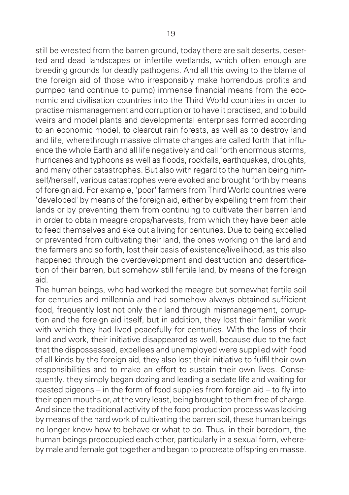still be wrested from the barren ground, today there are salt deserts, deserted and dead landscapes or infertile wetlands, which often enough are breeding grounds for deadly pathogens. And all this owing to the blame of the foreign aid of those who irresponsibly make horrendous profits and pumped (and continue to pump) immense financial means from the economic and civilisation countries into the Third World countries in order to practise mismanagement and corruption or to have it practised, and to build weirs and model plants and developmental enterprises formed according to an economic model, to clearcut rain forests, as well as to destroy land and life, wherethrough massive climate changes are called forth that influence the whole Earth and all life negatively and call forth enormous storms, hurricanes and typhoons as well as floods, rockfalls, earthquakes, droughts, and many other catastrophes. But also with regard to the human being himself/herself, various catastrophes were evoked and brought forth by means of foreign aid. For example, 'poor' farmers from Third World countries were 'developed' by means of the foreign aid, either by expelling them from their lands or by preventing them from continuing to cultivate their barren land in order to obtain meagre crops/harvests, from which they have been able to feed themselves and eke out a living for centuries. Due to being expelled or prevented from cultivating their land, the ones working on the land and the farmers and so forth, lost their basis of existence/livelihood, as this also happened through the overdevelopment and destruction and desertification of their barren, but somehow still fertile land, by means of the foreign aid.

The human beings, who had worked the meagre but somewhat fertile soil for centuries and millennia and had somehow always obtained sufficient food, frequently lost not only their land through mismanagement, corruption and the foreign aid itself, but in addition, they lost their familiar work with which they had lived peacefully for centuries. With the loss of their land and work, their initiative disappeared as well, because due to the fact that the dispossessed, expellees and unemployed were supplied with food of all kinds by the foreign aid, they also lost their initiative to fulfil their own responsibilities and to make an effort to sustain their own lives. Consequently, they simply began dozing and leading a sedate life and waiting for roasted pigeons – in the form of food supplies from foreign aid – to fly into their open mouths or, at the very least, being brought to them free of charge. And since the traditional activity of the food production process was lacking by means of the hard work of cultivating the barren soil, these human beings no longer knew how to behave or what to do. Thus, in their boredom, the human beings preoccupied each other, particularly in a sexual form, whereby male and female got together and began to procreate offspring en masse.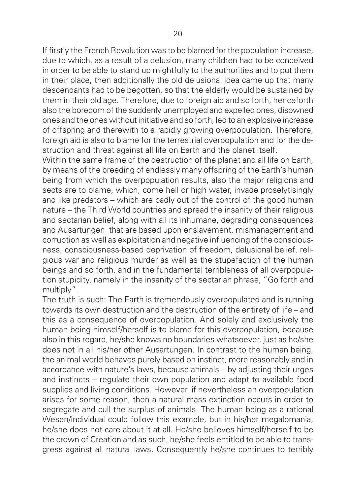If firstly the French Revolution was to be blamed for the population increase, due to which, as a result of a delusion, many children had to be conceived in order to be able to stand up mightfully to the authorities and to put them in their place, then additionally the old delusional idea came up that many descendants had to be begotten, so that the elderly would be sustained by them in their old age. Therefore, due to foreign aid and so forth, henceforth also the boredom of the suddenly unemployed and expelled ones, disowned ones and the ones without initiative and so forth, led to an explosive increase of offspring and therewith to a rapidly growing overpopulation. Therefore, foreign aid is also to blame for the terrestrial overpopulation and for the destruction and threat against all life on Earth and the planet itself.

Within the same frame of the destruction of the planet and all life on Earth, by means of the breeding of endlessly many offspring of the Earth's human being from which the overpopulation results, also the major religions and sects are to blame, which, come hell or high water, invade proselytisingly and like predators – which are badly out of the control of the good human nature – the Third World countries and spread the insanity of their religious and sectarian belief, along with all its inhumane, degrading consequences and Ausartungen that are based upon enslavement, mismanagement and corruption as well as exploitation and negative influencing of the conscious ness, consciousness-based deprivation of freedom, delusional belief, religious war and religious murder as well as the stupefaction of the human beings and so forth, and in the fundamental terribleness of all overpopulation stupidity, namely in the insanity of the sectarian phrase, "Go forth and multiply".

The truth is such: The Earth is tremendously overpopulated and is running towards its own destruction and the destruction of the entirety of life – and this as a consequence of overpopulation. And solely and exclusively the human being himself/herself is to blame for this overpopulation, because also in this regard, he/she knows no boundaries whatsoever, just as he/she does not in all his/her other Ausartungen. In contrast to the human being, the animal world behaves purely based on instinct, more reasonably and in accordance with nature's laws, because animals – by adjusting their urges and instincts – regulate their own population and adapt to available food supplies and living conditions. However, if nevertheless an overpopulation arises for some reason, then a natural mass extinction occurs in order to segregate and cull the surplus of animals. The human being as a rational Wesen/individual could follow this example, but in his/her megalomania, he/she does not care about it at all. He/she believes himself/herself to be the crown of Creation and as such, he/she feels entitled to be able to transgress against all natural laws. Consequently he/she continues to terribly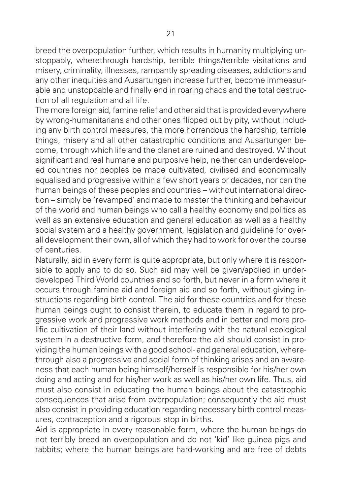breed the overpopulation further, which results in humanity multiplying unstoppably, wherethrough hardship, terrible things/terrible visitations and misery, criminality, illnesses, rampantly spreading diseases, addictions and any other inequities and Ausartungen increase further, become immeasurable and unstoppable and finally end in roaring chaos and the total destruction of all regulation and all life.

The more foreign aid, famine relief and other aid that is provided everywhere by wrong-humanitarians and other ones flipped out by pity, without including any birth control measures, the more horrendous the hardship, terrible things, misery and all other catastrophic conditions and Ausartungen become, through which life and the planet are ruined and destroyed. Without significant and real humane and purposive help, neither can underdeveloped countries nor peoples be made cultivated, civilised and economically equalised and progressive within a few short years or decades, nor can the human beings of these peoples and countries – without international direction – simply be 'revamped' and made to master the thinking and behaviour of the world and human beings who call a healthy economy and politics as well as an extensive education and general education as well as a healthy social system and a healthy government, legislation and guideline for overall development their own, all of which they had to work for over the course of centuries.

Naturally, aid in every form is quite appropriate, but only where it is responsible to apply and to do so. Such aid may well be given/applied in underdeveloped Third World countries and so forth, but never in a form where it occurs through famine aid and foreign aid and so forth, without giving instructions regarding birth control. The aid for these countries and for these human beings ought to consist therein, to educate them in regard to progressive work and progressive work methods and in better and more prolific cultivation of their land without interfering with the natural ecological system in a destructive form, and therefore the aid should consist in providing the human beings with a good school- and general education, where through also a progressive and social form of thinking arises and an aware ness that each human being himself/herself is responsible for his/her own doing and acting and for his/her work as well as his/her own life. Thus, aid must also consist in educating the human beings about the catastrophic consequences that arise from overpopulation; consequently the aid must also consist in providing education regarding necessary birth control meas ures, contraception and a rigorous stop in births.

Aid is appropriate in every reasonable form, where the human beings do not terribly breed an overpopulation and do not 'kid' like guinea pigs and rabbits; where the human beings are hard-working and are free of debts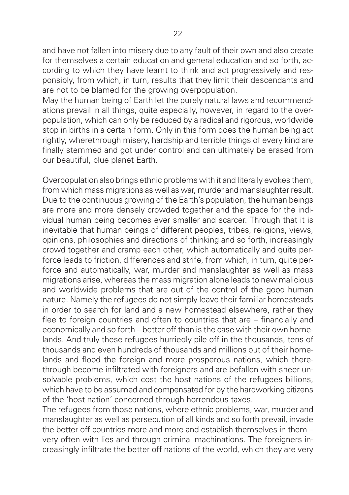and have not fallen into misery due to any fault of their own and also create for themselves a certain education and general education and so forth, according to which they have learnt to think and act progressively and responsibly, from which, in turn, results that they limit their descendants and are not to be blamed for the growing overpopulation.

May the human being of Earth let the purely natural laws and recommendations prevail in all things, quite especially, however, in regard to the overpopulation, which can only be reduced by a radical and rigorous, worldwide stop in births in a certain form. Only in this form does the human being act rightly, wherethrough misery, hardship and terrible things of every kind are finally stemmed and got under control and can ultimately be erased from our beautiful, blue planet Earth.

Overpopulation also brings ethnic problems with it and literally evokes them, from which mass migrations as well as war, murder and manslaughter result. Due to the continuous growing of the Earth's population, the human beings are more and more densely crowded together and the space for the individual human being becomes ever smaller and scarcer. Through that it is inevitable that human beings of different peoples, tribes, religions, views, opinions, philosophies and directions of thinking and so forth, increasingly crowd together and cramp each other, which automatically and quite perforce leads to friction, differences and strife, from which, in turn, quite perforce and automatically, war, murder and manslaughter as well as mass migrations arise, whereas the mass migration alone leads to new malicious and worldwide problems that are out of the control of the good human nature. Namely the refugees do not simply leave their familiar homesteads in order to search for land and a new homestead elsewhere, rather they flee to foreign countries and often to countries that are – financially and economically and so forth – better off than is the case with their own homelands. And truly these refugees hurriedly pile off in the thousands, tens of thousands and even hundreds of thousands and millions out of their homelands and flood the foreign and more prosperous nations, which therethrough become infiltrated with foreigners and are befallen with sheer unsolvable problems, which cost the host nations of the refugees billions, which have to be assumed and compensated for by the hardworking citizens of the 'host nation' concerned through horrendous taxes.

The refugees from those nations, where ethnic problems, war, murder and manslaughter as well as persecution of all kinds and so forth prevail, invade the better off countries more and more and establish themselves in them – very often with lies and through criminal machinations. The foreigners increasingly infiltrate the better off nations of the world, which they are very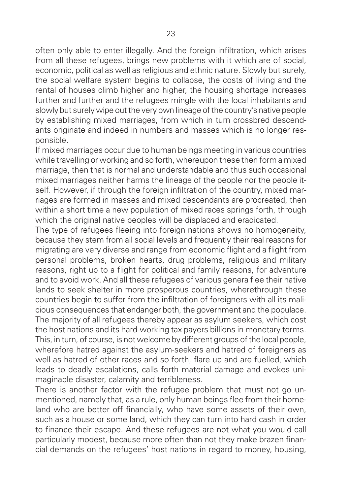often only able to enter illegally. And the foreign infiltration, which arises from all these refugees, brings new problems with it which are of social, economic, political as well as religious and ethnic nature. Slowly but surely, the social welfare system begins to collapse, the costs of living and the rental of houses climb higher and higher, the housing shortage increases further and further and the refugees mingle with the local inhabitants and slowly but surely wipe out the very own lineage of the country's native people by establishing mixed marriages, from which in turn crossbred descendants originate and indeed in numbers and masses which is no longer responsible.

If mixed marriages occur due to human beings meeting in various countries while travelling or working and so forth, whereupon these then form a mixed marriage, then that is normal and understandable and thus such occasional mixed marriages neither harms the lineage of the people nor the people itself. However, if through the foreign infiltration of the country, mixed marriages are formed in masses and mixed descendants are procreated, then within a short time a new population of mixed races springs forth, through which the original native peoples will be displaced and eradicated.

The type of refugees fleeing into foreign nations shows no homogeneity, because they stem from all social levels and frequently their real reasons for migrating are very diverse and range from economic flight and a flight from personal problems, broken hearts, drug problems, religious and military reasons, right up to a flight for political and family reasons, for adventure and to avoid work. And all these refugees of various genera flee their native lands to seek shelter in more prosperous countries, wherethrough these countries begin to suffer from the infiltration of foreigners with all its malicious consequences that endanger both, the government and the populace. The majority of all refugees thereby appear as asylum seekers, which cost the host nations and its hard-working tax payers billions in monetary terms. This, in turn, of course, is not welcome by different groups of the local people, wherefore hatred against the asylum-seekers and hatred of foreigners as well as hatred of other races and so forth, flare up and are fuelled, which leads to deadly escalations, calls forth material damage and evokes unimaginable disaster, calamity and terribleness.

There is another factor with the refugee problem that must not go unmentioned, namely that, as a rule, only human beings flee from their homeland who are better off financially, who have some assets of their own, such as a house or some land, which they can turn into hard cash in order to finance their escape. And these refugees are not what you would call particularly modest, because more often than not they make brazen financial demands on the refugees' host nations in regard to money, housing,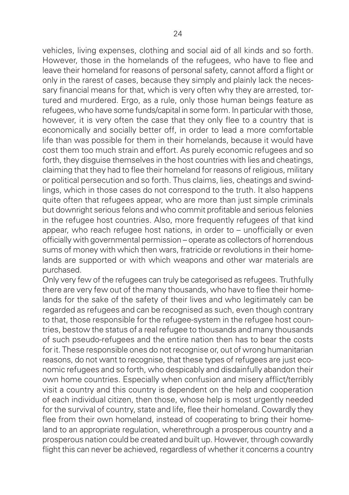vehicles, living expenses, clothing and social aid of all kinds and so forth. However, those in the homelands of the refugees, who have to flee and leave their homeland for reasons of personal safety, cannot afford a flight or only in the rarest of cases, because they simply and plainly lack the necessary financial means for that, which is very often why they are arrested, tortured and murdered. Ergo, as a rule, only those human beings feature as refugees, who have some funds/capital in some form. In particular with those, however, it is very often the case that they only flee to a country that is economically and socially better off, in order to lead a more comfortable life than was possible for them in their homelands, because it would have cost them too much strain and effort. As purely economic refugees and so forth, they disguise themselves in the host countries with lies and cheatings. claiming that they had to flee their homeland for reasons of religious, military or political persecution and so forth. Thus claims, lies, cheatings and swindlings, which in those cases do not correspond to the truth. It also happens quite often that refugees appear, who are more than just simple criminals but downright serious felons and who commit profitable and serious felonies in the refugee host countries. Also, more frequently refugees of that kind appear, who reach refugee host nations, in order to – unofficially or even officially with governmental permission – operate as collectors of horrendous sums of money with which then wars, fratricide or revolutions in their homelands are supported or with which weapons and other war materials are purchased.

Only very few of the refugees can truly be categorised as refugees. Truthfully there are very few out of the many thousands, who have to flee their homelands for the sake of the safety of their lives and who legitimately can be regarded as refugees and can be recognised as such, even though contrary to that, those responsible for the refugee-system in the refugee host countries, bestow the status of a real refugee to thousands and many thousands of such pseudo-refugees and the entire nation then has to bear the costs for it. These responsible ones do not recognise or, out of wrong humanitarian reasons, do not want to recognise, that these types of refugees are just economic refugees and so forth, who despicably and disdainfully abandon their own home countries. Especially when confusion and misery afflict/terribly visit a country and this country is dependent on the help and cooperation of each individual citizen, then those, whose help is most urgently needed for the survival of country, state and life, flee their homeland. Cowardly they flee from their own homeland, instead of cooperating to bring their homeland to an appropriate regulation, wherethrough a prosperous country and a prosperous nation could be created and built up. However, through cowardly flight this can never be achieved, regardless of whether it concerns a country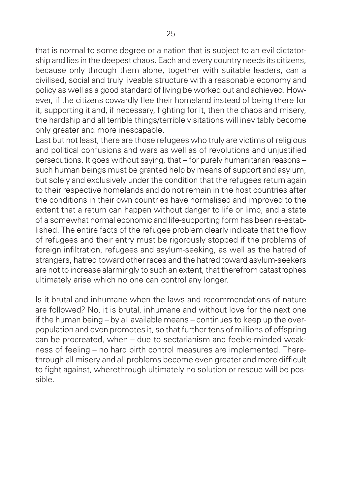that is normal to some degree or a nation that is subject to an evil dictatorship and lies in the deepest chaos. Each and every country needs its citizens, because only through them alone, together with suitable leaders, can a civilised, social and truly liveable structure with a reasonable economy and policy as well as a good standard of living be worked out and achieved. However, if the citizens cowardly flee their homeland instead of being there for it, supporting it and, if necessary, fighting for it, then the chaos and misery, the hardship and all terrible things/terrible visitations will inevitably become only greater and more inescapable.

Last but not least, there are those refugees who truly are victims of religious and political confusions and wars as well as of revolutions and unjustified persecutions. It goes without saying, that – for purely humanitarian reasons – such human beings must be granted help by means of support and asylum, but solely and exclusively under the condition that the refugees return again to their respective homelands and do not remain in the host countries after the conditions in their own countries have normalised and improved to the extent that a return can happen without danger to life or limb, and a state of a somewhat normal economic and life-supporting form has been re-established. The entire facts of the refugee problem clearly indicate that the flow of refugees and their entry must be rigorously stopped if the problems of foreign infiltration, refugees and asylum-seeking, as well as the hatred of strangers, hatred toward other races and the hatred toward asylum-seekers are not to increase alarmingly to such an extent, that therefrom catastrophes ultimately arise which no one can control any longer.

Is it brutal and inhumane when the laws and recommendations of nature are followed? No, it is brutal, inhumane and without love for the next one if the human being – by all available means – continues to keep up the overpopulation and even promotes it, so that further tens of millions of offspring can be procreated, when – due to sectarianism and feeble-minded weak ness of feeling – no hard birth control measures are implemented. Therethrough all misery and all problems become even greater and more difficult to fight against, wherethrough ultimately no solution or rescue will be possible.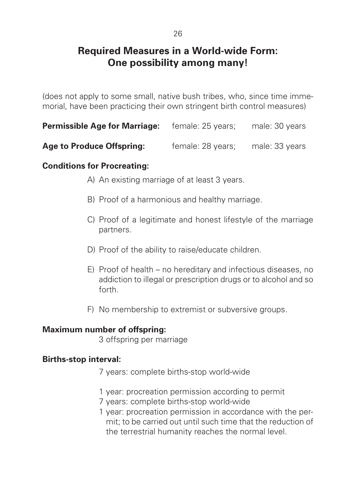# **Required Measures in a World-wide Form: One possibility among many!**

(does not apply to some small, native bush tribes, who, since time immemorial, have been practicing their own stringent birth control measures)

| <b>Permissible Age for Marriage:</b> | female: 25 years; | male: 30 years |
|--------------------------------------|-------------------|----------------|
|                                      |                   |                |

Age to Produce Offspring: female: 28 years; male: 33 years

### **Conditions for Procreating:**

- A) An existing marriage of at least 3 years.
- B) Proof of a harmonious and healthy marriage.
- C) Proof of a legitimate and honest lifestyle of the marriage partners.
- D) Proof of the ability to raise/educate children.
- E) Proof of health no hereditary and infectious diseases, no addiction to illegal or prescription drugs or to alcohol and so forth.
- F) No membership to extremist or subversive groups.

### **Maximum number of offspring:**

3 offspring per marriage

### **Births-stop interval:**

- 7 years: complete births-stop world-wide
- 1 year: procreation permission according to permit
- 7 years: complete births-stop world-wide
- 1 year: procreation permission in accordance with the permit; to be carried out until such time that the reduction of the terrestrial humanity reaches the normal level.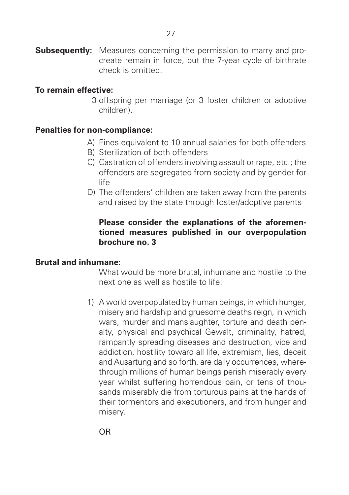**Subsequently:** Measures concerning the permission to marry and procreate remain in force, but the 7-year cycle of birthrate check is omitted.

#### **To remain effective:**

3 offspring per marriage (or 3 foster children or adoptive children).

#### **Penalties for non-compliance:**

- A) Fines equivalent to 10 annual salaries for both offenders
- B) Sterilization of both offenders
- C) Castration of offenders involving assault or rape, etc.; the offenders are segregated from society and by gender for life
- D) The offenders' children are taken away from the parents and raised by the state through foster/adoptive parents

#### Please consider the explanations of the aforemen**tioned measures published in our overpopulation brochure no. 3**

#### **Brutal and inhumane:**

What would be more brutal, inhumane and hostile to the next one as well as hostile to life:

1) A world overpopulated by human beings, in which hunger, misery and hardship and gruesome deaths reign, in which wars, murder and manslaughter, torture and death penalty, physical and psychical Gewalt, criminality, hatred, rampantly spreading diseases and destruction, vice and addiction, hostility toward all life, extremism, lies, deceit and Ausartung and so forth, are daily occurrences, wherethrough millions of human beings perish miserably every year whilst suffering horrendous pain, or tens of thousands miserably die from torturous pains at the hands of their tormentors and executioners, and from hunger and misery.